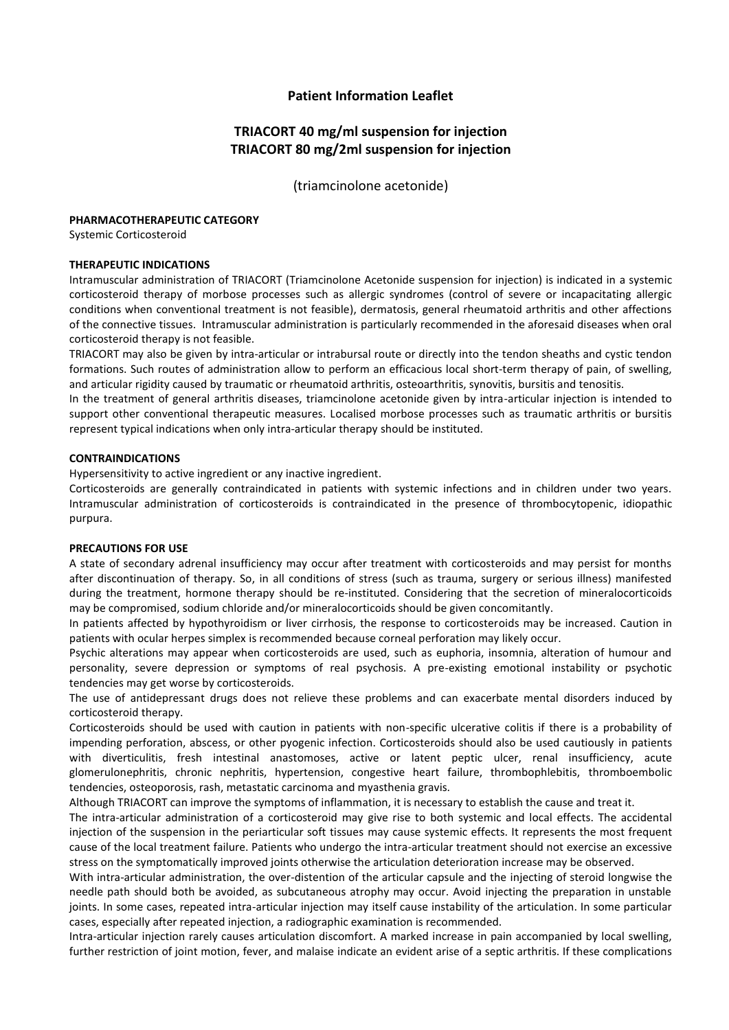# **Patient Information Leaflet**

# **TRIACORT 40 mg/ml suspension for injection TRIACORT 80 mg/2ml suspension for injection**

(triamcinolone acetonide)

#### **PHARMACOTHERAPEUTIC CATEGORY**

Systemic Corticosteroid

#### **THERAPEUTIC INDICATIONS**

Intramuscular administration of TRIACORT (Triamcinolone Acetonide suspension for injection) is indicated in a systemic corticosteroid therapy of morbose processes such as allergic syndromes (control of severe or incapacitating allergic conditions when conventional treatment is not feasible), dermatosis, general rheumatoid arthritis and other affections of the connective tissues. Intramuscular administration is particularly recommended in the aforesaid diseases when oral corticosteroid therapy is not feasible.

TRIACORT may also be given by intra-articular or intrabursal route or directly into the tendon sheaths and cystic tendon formations. Such routes of administration allow to perform an efficacious local short-term therapy of pain, of swelling, and articular rigidity caused by traumatic or rheumatoid arthritis, osteoarthritis, synovitis, bursitis and tenositis.

In the treatment of general arthritis diseases, triamcinolone acetonide given by intra-articular injection is intended to support other conventional therapeutic measures. Localised morbose processes such as traumatic arthritis or bursitis represent typical indications when only intra-articular therapy should be instituted.

#### **CONTRAINDICATIONS**

Hypersensitivity to active ingredient or any inactive ingredient.

Corticosteroids are generally contraindicated in patients with systemic infections and in children under two years. Intramuscular administration of corticosteroids is contraindicated in the presence of thrombocytopenic, idiopathic purpura.

# **PRECAUTIONS FOR USE**

A state of secondary adrenal insufficiency may occur after treatment with corticosteroids and may persist for months after discontinuation of therapy. So, in all conditions of stress (such as trauma, surgery or serious illness) manifested during the treatment, hormone therapy should be re-instituted. Considering that the secretion of mineralocorticoids may be compromised, sodium chloride and/or mineralocorticoids should be given concomitantly.

In patients affected by hypothyroidism or liver cirrhosis, the response to corticosteroids may be increased. Caution in patients with ocular herpes simplex is recommended because corneal perforation may likely occur.

Psychic alterations may appear when corticosteroids are used, such as euphoria, insomnia, alteration of humour and personality, severe depression or symptoms of real psychosis. A pre-existing emotional instability or psychotic tendencies may get worse by corticosteroids.

The use of antidepressant drugs does not relieve these problems and can exacerbate mental disorders induced by corticosteroid therapy.

Corticosteroids should be used with caution in patients with non-specific ulcerative colitis if there is a probability of impending perforation, abscess, or other pyogenic infection. Corticosteroids should also be used cautiously in patients with diverticulitis, fresh intestinal anastomoses, active or latent peptic ulcer, renal insufficiency, acute glomerulonephritis, chronic nephritis, hypertension, congestive heart failure, thrombophlebitis, thromboembolic tendencies, osteoporosis, rash, metastatic carcinoma and myasthenia gravis.

Although TRIACORT can improve the symptoms of inflammation, it is necessary to establish the cause and treat it.

The intra-articular administration of a corticosteroid may give rise to both systemic and local effects. The accidental injection of the suspension in the periarticular soft tissues may cause systemic effects. It represents the most frequent cause of the local treatment failure. Patients who undergo the intra-articular treatment should not exercise an excessive stress on the symptomatically improved joints otherwise the articulation deterioration increase may be observed.

With intra-articular administration, the over-distention of the articular capsule and the injecting of steroid longwise the needle path should both be avoided, as subcutaneous atrophy may occur. Avoid injecting the preparation in unstable joints. In some cases, repeated intra-articular injection may itself cause instability of the articulation. In some particular cases, especially after repeated injection, a radiographic examination is recommended.

Intra-articular injection rarely causes articulation discomfort. A marked increase in pain accompanied by local swelling, further restriction of joint motion, fever, and malaise indicate an evident arise of a septic arthritis. If these complications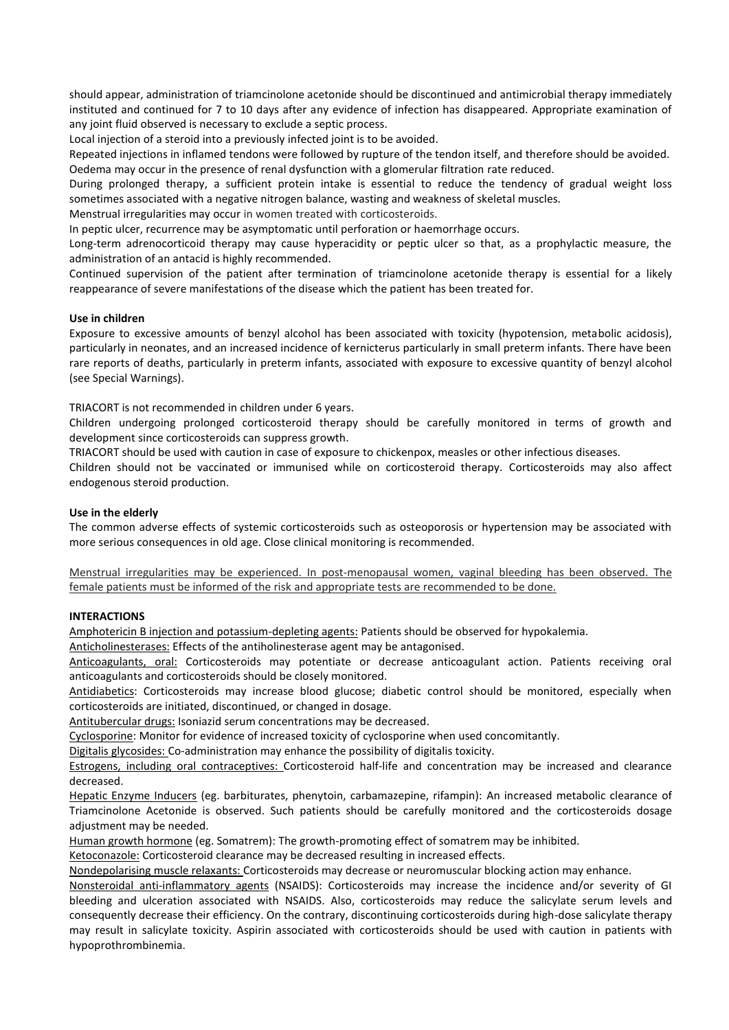should appear, administration of triamcinolone acetonide should be discontinued and antimicrobial therapy immediately instituted and continued for 7 to 10 days after any evidence of infection has disappeared. Appropriate examination of any joint fluid observed is necessary to exclude a septic process.

Local injection of a steroid into a previously infected joint is to be avoided.

Repeated injections in inflamed tendons were followed by rupture of the tendon itself, and therefore should be avoided. Oedema may occur in the presence of renal dysfunction with a glomerular filtration rate reduced.

During prolonged therapy, a sufficient protein intake is essential to reduce the tendency of gradual weight loss sometimes associated with a negative nitrogen balance, wasting and weakness of skeletal muscles.

Menstrual irregularities may occur in women treated with corticosteroids.

In peptic ulcer, recurrence may be asymptomatic until perforation or haemorrhage occurs.

Long-term adrenocorticoid therapy may cause hyperacidity or peptic ulcer so that, as a prophylactic measure, the administration of an antacid is highly recommended.

Continued supervision of the patient after termination of triamcinolone acetonide therapy is essential for a likely reappearance of severe manifestations of the disease which the patient has been treated for.

# **Use in children**

Exposure to excessive amounts of benzyl alcohol has been associated with toxicity (hypotension, metabolic acidosis), particularly in neonates, and an increased incidence of kernicterus particularly in small preterm infants. There have been rare reports of deaths, particularly in preterm infants, associated with exposure to excessive quantity of benzyl alcohol (see Special Warnings).

TRIACORT is not recommended in children under 6 years.

Children undergoing prolonged corticosteroid therapy should be carefully monitored in terms of growth and development since corticosteroids can suppress growth.

TRIACORT should be used with caution in case of exposure to chickenpox, measles or other infectious diseases.

Children should not be vaccinated or immunised while on corticosteroid therapy. Corticosteroids may also affect endogenous steroid production.

# **Use in the elderly**

The common adverse effects of systemic corticosteroids such as osteoporosis or hypertension may be associated with more serious consequences in old age. Close clinical monitoring is recommended.

Menstrual irregularities may be experienced. In post-menopausal women, vaginal bleeding has been observed. The female patients must be informed of the risk and appropriate tests are recommended to be done.

# **INTERACTIONS**

Amphotericin B injection and potassium-depleting agents: Patients should be observed for hypokalemia.

Anticholinesterases: Effects of the antiholinesterase agent may be antagonised.

Anticoagulants, oral: Corticosteroids may potentiate or decrease anticoagulant action. Patients receiving oral anticoagulants and corticosteroids should be closely monitored.

Antidiabetics: Corticosteroids may increase blood glucose; diabetic control should be monitored, especially when corticosteroids are initiated, discontinued, or changed in dosage.

Antitubercular drugs: Isoniazid serum concentrations may be decreased.

Cyclosporine: Monitor for evidence of increased toxicity of cyclosporine when used concomitantly.

Digitalis glycosides: Co-administration may enhance the possibility of digitalis toxicity.

Estrogens, including oral contraceptives: Corticosteroid half-life and concentration may be increased and clearance decreased.

Hepatic Enzyme Inducers (eg. barbiturates, phenytoin, carbamazepine, rifampin): An increased metabolic clearance of Triamcinolone Acetonide is observed. Such patients should be carefully monitored and the corticosteroids dosage adjustment may be needed.

Human growth hormone (eg. Somatrem): The growth-promoting effect of somatrem may be inhibited.

Ketoconazole: Corticosteroid clearance may be decreased resulting in increased effects.

Nondepolarising muscle relaxants: Corticosteroids may decrease or neuromuscular blocking action may enhance.

Nonsteroidal anti-inflammatory agents (NSAIDS): Corticosteroids may increase the incidence and/or severity of GI bleeding and ulceration associated with NSAIDS. Also, corticosteroids may reduce the salicylate serum levels and consequently decrease their efficiency. On the contrary, discontinuing corticosteroids during high-dose salicylate therapy may result in salicylate toxicity. Aspirin associated with corticosteroids should be used with caution in patients with hypoprothrombinemia.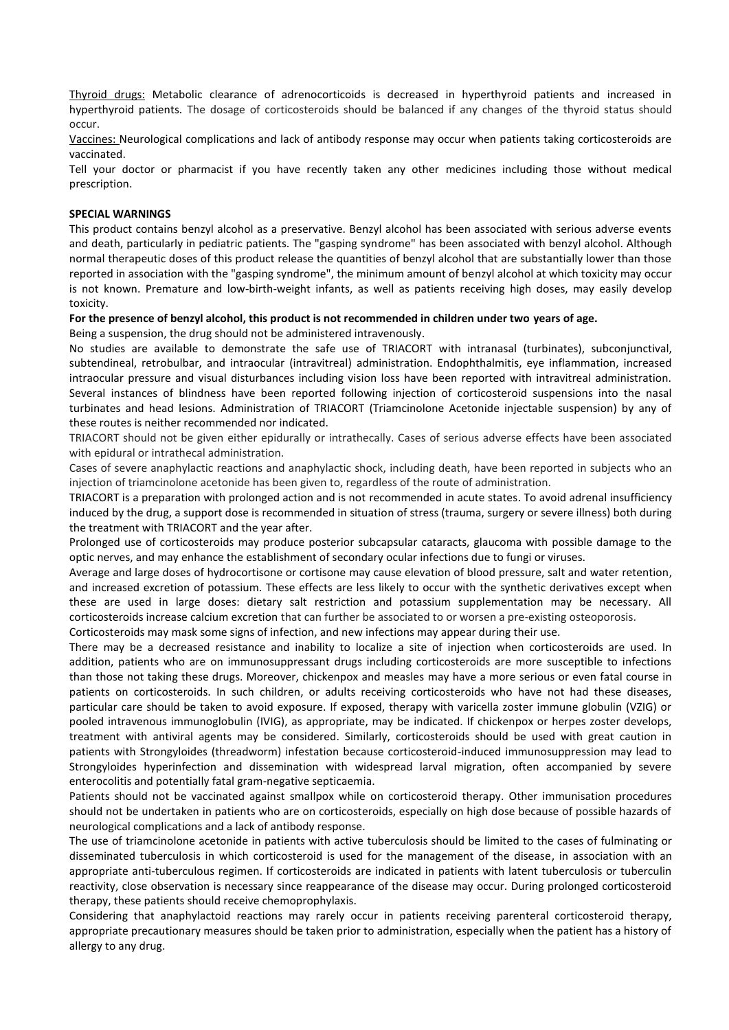Thyroid drugs: Metabolic clearance of adrenocorticoids is decreased in hyperthyroid patients and increased in hyperthyroid patients. The dosage of corticosteroids should be balanced if any changes of the thyroid status should occur.

Vaccines: Neurological complications and lack of antibody response may occur when patients taking corticosteroids are vaccinated.

Tell your doctor or pharmacist if you have recently taken any other medicines including those without medical prescription.

#### **SPECIAL WARNINGS**

This product contains benzyl alcohol as a preservative. Benzyl alcohol has been associated with serious adverse events and death, particularly in pediatric patients. The "gasping syndrome" has been associated with benzyl alcohol. Although normal therapeutic doses of this product release the quantities of benzyl alcohol that are substantially lower than those reported in association with the "gasping syndrome", the minimum amount of benzyl alcohol at which toxicity may occur is not known. Premature and low-birth-weight infants, as well as patients receiving high doses, may easily develop toxicity.

#### **For the presence of benzyl alcohol, this product is not recommended in children under two years of age.**

Being a suspension, the drug should not be administered intravenously.

No studies are available to demonstrate the safe use of TRIACORT with intranasal (turbinates), subconjunctival, subtendineal, retrobulbar, and intraocular (intravitreal) administration. Endophthalmitis, eye inflammation, increased intraocular pressure and visual disturbances including vision loss have been reported with intravitreal administration. Several instances of blindness have been reported following injection of corticosteroid suspensions into the nasal turbinates and head lesions. Administration of TRIACORT (Triamcinolone Acetonide injectable suspension) by any of these routes is neither recommended nor indicated.

TRIACORT should not be given either epidurally or intrathecally. Cases of serious adverse effects have been associated with epidural or intrathecal administration.

Cases of severe anaphylactic reactions and anaphylactic shock, including death, have been reported in subjects who an injection of triamcinolone acetonide has been given to, regardless of the route of administration.

TRIACORT is a preparation with prolonged action and is not recommended in acute states. To avoid adrenal insufficiency induced by the drug, a support dose is recommended in situation of stress (trauma, surgery or severe illness) both during the treatment with TRIACORT and the year after.

Prolonged use of corticosteroids may produce posterior subcapsular cataracts, glaucoma with possible damage to the optic nerves, and may enhance the establishment of secondary ocular infections due to fungi or viruses.

Average and large doses of hydrocortisone or cortisone may cause elevation of blood pressure, salt and water retention, and increased excretion of potassium. These effects are less likely to occur with the synthetic derivatives except when these are used in large doses: dietary salt restriction and potassium supplementation may be necessary. All corticosteroids increase calcium excretion that can further be associated to or worsen a pre-existing osteoporosis.

Corticosteroids may mask some signs of infection, and new infections may appear during their use.

There may be a decreased resistance and inability to localize a site of injection when corticosteroids are used. In addition, patients who are on immunosuppressant drugs including corticosteroids are more susceptible to infections than those not taking these drugs. Moreover, chickenpox and measles may have a more serious or even fatal course in patients on corticosteroids. In such children, or adults receiving corticosteroids who have not had these diseases, particular care should be taken to avoid exposure. If exposed, therapy with varicella zoster immune globulin (VZIG) or pooled intravenous immunoglobulin (IVIG), as appropriate, may be indicated. If chickenpox or herpes zoster develops, treatment with antiviral agents may be considered. Similarly, corticosteroids should be used with great caution in patients with Strongyloides (threadworm) infestation because corticosteroid-induced immunosuppression may lead to Strongyloides hyperinfection and dissemination with widespread larval migration, often accompanied by severe enterocolitis and potentially fatal gram-negative septicaemia.

Patients should not be vaccinated against smallpox while on corticosteroid therapy. Other immunisation procedures should not be undertaken in patients who are on corticosteroids, especially on high dose because of possible hazards of neurological complications and a lack of antibody response.

The use of triamcinolone acetonide in patients with active tuberculosis should be limited to the cases of fulminating or disseminated tuberculosis in which corticosteroid is used for the management of the disease, in association with an appropriate anti-tuberculous regimen. If corticosteroids are indicated in patients with latent tuberculosis or tuberculin reactivity, close observation is necessary since reappearance of the disease may occur. During prolonged corticosteroid therapy, these patients should receive chemoprophylaxis.

Considering that anaphylactoid reactions may rarely occur in patients receiving parenteral corticosteroid therapy, appropriate precautionary measures should be taken prior to administration, especially when the patient has a history of allergy to any drug.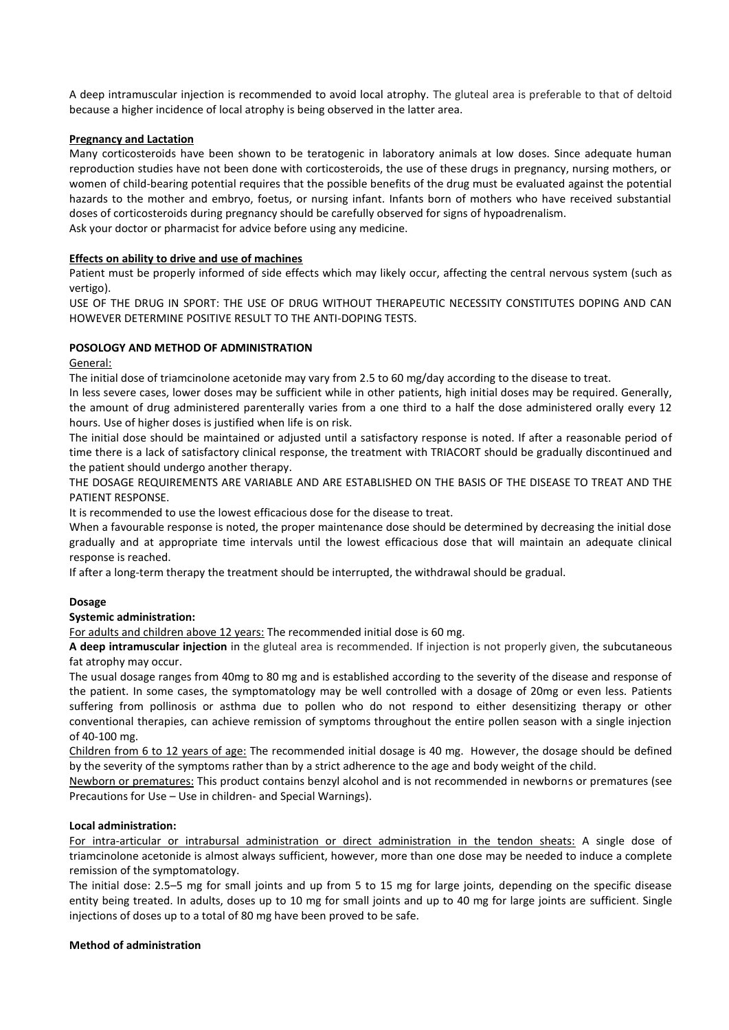A deep intramuscular injection is recommended to avoid local atrophy. The gluteal area is preferable to that of deltoid because a higher incidence of local atrophy is being observed in the latter area.

# **Pregnancy and Lactation**

Many corticosteroids have been shown to be teratogenic in laboratory animals at low doses. Since adequate human reproduction studies have not been done with corticosteroids, the use of these drugs in pregnancy, nursing mothers, or women of child-bearing potential requires that the possible benefits of the drug must be evaluated against the potential hazards to the mother and embryo, foetus, or nursing infant. Infants born of mothers who have received substantial doses of corticosteroids during pregnancy should be carefully observed for signs of hypoadrenalism. Ask your doctor or pharmacist for advice before using any medicine.

# **Effects on ability to drive and use of machines**

Patient must be properly informed of side effects which may likely occur, affecting the central nervous system (such as vertigo).

USE OF THE DRUG IN SPORT: THE USE OF DRUG WITHOUT THERAPEUTIC NECESSITY CONSTITUTES DOPING AND CAN HOWEVER DETERMINE POSITIVE RESULT TO THE ANTI-DOPING TESTS.

# **POSOLOGY AND METHOD OF ADMINISTRATION**

#### General:

The initial dose of triamcinolone acetonide may vary from 2.5 to 60 mg/day according to the disease to treat.

In less severe cases, lower doses may be sufficient while in other patients, high initial doses may be required. Generally, the amount of drug administered parenterally varies from a one third to a half the dose administered orally every 12 hours. Use of higher doses is justified when life is on risk.

The initial dose should be maintained or adjusted until a satisfactory response is noted. If after a reasonable period of time there is a lack of satisfactory clinical response, the treatment with TRIACORT should be gradually discontinued and the patient should undergo another therapy.

THE DOSAGE REQUIREMENTS ARE VARIABLE AND ARE ESTABLISHED ON THE BASIS OF THE DISEASE TO TREAT AND THE PATIENT RESPONSE.

It is recommended to use the lowest efficacious dose for the disease to treat.

When a favourable response is noted, the proper maintenance dose should be determined by decreasing the initial dose gradually and at appropriate time intervals until the lowest efficacious dose that will maintain an adequate clinical response is reached.

If after a long-term therapy the treatment should be interrupted, the withdrawal should be gradual.

# **Dosage**

# **Systemic administration:**

For adults and children above 12 years: The recommended initial dose is 60 mg.

**A deep intramuscular injection** in the gluteal area is recommended. If injection is not properly given, the subcutaneous fat atrophy may occur.

The usual dosage ranges from 40mg to 80 mg and is established according to the severity of the disease and response of the patient. In some cases, the symptomatology may be well controlled with a dosage of 20mg or even less. Patients suffering from pollinosis or asthma due to pollen who do not respond to either desensitizing therapy or other conventional therapies, can achieve remission of symptoms throughout the entire pollen season with a single injection of 40-100 mg.

Children from 6 to 12 years of age: The recommended initial dosage is 40 mg. However, the dosage should be defined by the severity of the symptoms rather than by a strict adherence to the age and body weight of the child.

Newborn or prematures: This product contains benzyl alcohol and is not recommended in newborns or prematures (see Precautions for Use – Use in children- and Special Warnings).

# **Local administration:**

For intra-articular or intrabursal administration or direct administration in the tendon sheats: A single dose of triamcinolone acetonide is almost always sufficient, however, more than one dose may be needed to induce a complete remission of the symptomatology.

The initial dose: 2.5–5 mg for small joints and up from 5 to 15 mg for large joints, depending on the specific disease entity being treated. In adults, doses up to 10 mg for small joints and up to 40 mg for large joints are sufficient. Single injections of doses up to a total of 80 mg have been proved to be safe.

# **Method of administration**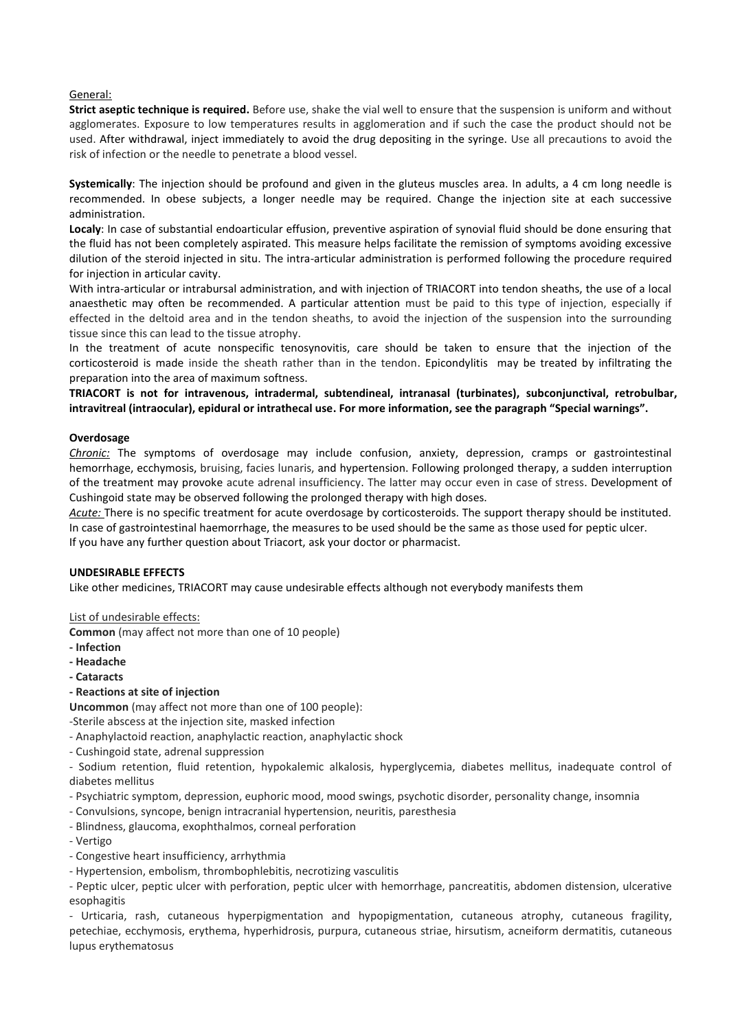#### General:

**Strict aseptic technique is required.** Before use, shake the vial well to ensure that the suspension is uniform and without agglomerates. Exposure to low temperatures results in agglomeration and if such the case the product should not be used. After withdrawal, inject immediately to avoid the drug depositing in the syringe. Use all precautions to avoid the risk of infection or the needle to penetrate a blood vessel.

**Systemically**: The injection should be profound and given in the gluteus muscles area. In adults, a 4 cm long needle is recommended. In obese subjects, a longer needle may be required. Change the injection site at each successive administration.

**Localy**: In case of substantial endoarticular effusion, preventive aspiration of synovial fluid should be done ensuring that the fluid has not been completely aspirated. This measure helps facilitate the remission of symptoms avoiding excessive dilution of the steroid injected in situ. The intra-articular administration is performed following the procedure required for injection in articular cavity.

With intra-articular or intrabursal administration, and with injection of TRIACORT into tendon sheaths, the use of a local anaesthetic may often be recommended. A particular attention must be paid to this type of injection, especially if effected in the deltoid area and in the tendon sheaths, to avoid the injection of the suspension into the surrounding tissue since this can lead to the tissue atrophy.

In the treatment of acute nonspecific tenosynovitis, care should be taken to ensure that the injection of the corticosteroid is made inside the sheath rather than in the tendon. Epicondylitis may be treated by infiltrating the preparation into the area of maximum softness.

**TRIACORT is not for intravenous, intradermal, subtendineal, intranasal (turbinates), subconjunctival, retrobulbar, intravitreal (intraocular), epidural or intrathecal use. For more information, see the paragraph "Special warnings".**

#### **Overdosage**

*Chronic:* The symptoms of overdosage may include confusion, anxiety, depression, cramps or gastrointestinal hemorrhage, ecchymosis, bruising, facies lunaris, and hypertension. Following prolonged therapy, a sudden interruption of the treatment may provoke acute adrenal insufficiency. The latter may occur even in case of stress. Development of Cushingoid state may be observed following the prolonged therapy with high doses.

*Acute:* There is no specific treatment for acute overdosage by corticosteroids. The support therapy should be instituted. In case of gastrointestinal haemorrhage, the measures to be used should be the same as those used for peptic ulcer. If you have any further question about Triacort, ask your doctor or pharmacist.

#### **UNDESIRABLE EFFECTS**

Like other medicines, TRIACORT may cause undesirable effects although not everybody manifests them

List of undesirable effects:

**Common** (may affect not more than one of 10 people)

- **- Infection**
- **- Headache**
- **- Cataracts**
- **- Reactions at site of injection**

**Uncommon** (may affect not more than one of 100 people):

-Sterile abscess at the injection site, masked infection

- Anaphylactoid reaction, anaphylactic reaction, anaphylactic shock
- Cushingoid state, adrenal suppression

- Sodium retention, fluid retention, hypokalemic alkalosis, hyperglycemia, diabetes mellitus, inadequate control of diabetes mellitus

- Psychiatric symptom, depression, euphoric mood, mood swings, psychotic disorder, personality change, insomnia
- Convulsions, syncope, benign intracranial hypertension, neuritis, paresthesia
- Blindness, glaucoma, exophthalmos, corneal perforation
- Vertigo
- Congestive heart insufficiency, arrhythmia
- Hypertension, embolism, thrombophlebitis, necrotizing vasculitis

- Peptic ulcer, peptic ulcer with perforation, peptic ulcer with hemorrhage, pancreatitis, abdomen distension, ulcerative esophagitis

- Urticaria, rash, cutaneous hyperpigmentation and hypopigmentation, cutaneous atrophy, cutaneous fragility, petechiae, ecchymosis, erythema, hyperhidrosis, purpura, cutaneous striae, hirsutism, acneiform dermatitis, cutaneous lupus erythematosus